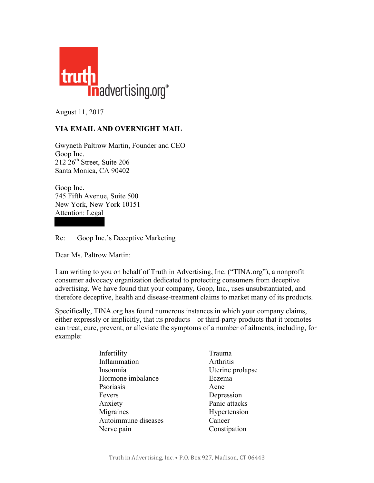

August 11, 2017

## **VIA EMAIL AND OVERNIGHT MAIL**

Gwyneth Paltrow Martin, Founder and CEO Goop Inc.  $212\,26$ <sup>th</sup> Street, Suite 206 Santa Monica, CA 90402

Goop Inc. 745 Fifth Avenue, Suite 500 New York, New York 10151 Attention: Legal

Re: Goop Inc.'s Deceptive Marketing

Dear Ms. Paltrow Martin:

I am writing to you on behalf of Truth in Advertising, Inc. ("TINA.org"), a nonprofit consumer advocacy organization dedicated to protecting consumers from deceptive advertising. We have found that your company, Goop, Inc., uses unsubstantiated, and therefore deceptive, health and disease-treatment claims to market many of its products.

Specifically, TINA.org has found numerous instances in which your company claims, either expressly or implicitly, that its products – or third-party products that it promotes – can treat, cure, prevent, or alleviate the symptoms of a number of ailments, including, for example:

| Infertility         | Trauma           |
|---------------------|------------------|
| Inflammation        | Arthritis        |
| Insomnia            | Uterine prolapse |
| Hormone imbalance   | Eczema           |
| Psoriasis           | Acne             |
| Fevers              | Depression       |
| Anxiety             | Panic attacks    |
| Migraines           | Hypertension     |
| Autoimmune diseases | Cancer           |
| Nerve pain          | Constipation     |